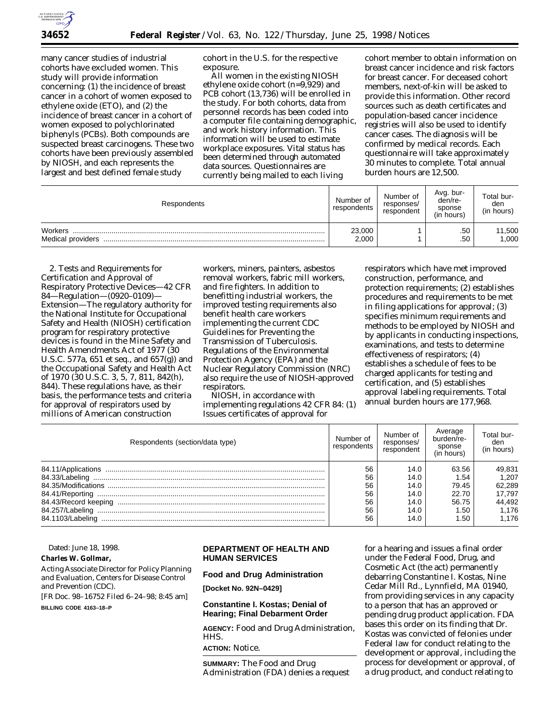

many cancer studies of industrial cohorts have excluded women. This study will provide information concerning: (1) the incidence of breast cancer in a cohort of women exposed to ethylene oxide (ETO), and (2) the incidence of breast cancer in a cohort of women exposed to polychlorinated biphenyls (PCBs). Both compounds are suspected breast carcinogens. These two cohorts have been previously assembled by NIOSH, and each represents the largest and best defined female study

cohort in the U.S. for the respective exposure.

All women in the existing NIOSH ethylene oxide cohort (n=9,929) and PCB cohort (13,736) will be enrolled in the study. For both cohorts, data from personnel records has been coded into a computer file containing demographic, and work history information. This information will be used to estimate workplace exposures. Vital status has been determined through automated data sources. Questionnaires are currently being mailed to each living

cohort member to obtain information on breast cancer incidence and risk factors for breast cancer. For deceased cohort members, next-of-kin will be asked to provide this information. Other record sources such as death certificates and population-based cancer incidence registries will also be used to identify cancer cases. The diagnosis will be confirmed by medical records. Each questionnaire will take approximately 30 minutes to complete. Total annual burden hours are 12,500.

| Respondents                  | Number of<br>respondents | Number of<br>responses/<br>respondent | Avg. bur-<br>den/re-<br>sponse<br>(in hours) | Total bur-<br>den<br>(in hours) |
|------------------------------|--------------------------|---------------------------------------|----------------------------------------------|---------------------------------|
| Workers<br>Medical providers | 23,000<br>2.000          |                                       | .50<br>.50                                   | 11,500<br>1,000                 |

*2. Tests and Requirements for Certification and Approval of Respiratory Protective Devices—42 CFR 84—Regulation—(0920–0109)— Extension*—The regulatory authority for the National Institute for Occupational Safety and Health (NIOSH) certification program for respiratory protective devices is found in the Mine Safety and Health Amendments Act of 1977 (30 U.S.C. 577a, 651 et seq., and 657(g)) and the Occupational Safety and Health Act of 1970 (30 U.S.C. 3, 5, 7, 811, 842(h), 844). These regulations have, as their basis, the performance tests and criteria for approval of respirators used by millions of American construction

workers, miners, painters, asbestos removal workers, fabric mill workers, and fire fighters. In addition to benefitting industrial workers, the improved testing requirements also benefit health care workers implementing the current CDC Guidelines for Preventing the Transmission of Tuberculosis. Regulations of the Environmental Protection Agency (EPA) and the Nuclear Regulatory Commission (NRC) also require the use of NIOSH-approved respirators.

NIOSH, in accordance with implementing regulations 42 CFR 84: (1) Issues certificates of approval for

respirators which have met improved construction, performance, and protection requirements; (2) establishes procedures and requirements to be met in filing applications for approval; (3) specifies minimum requirements and methods to be employed by NIOSH and by applicants in conducting inspections, examinations, and tests to determine effectiveness of respirators; (4) establishes a schedule of fees to be charged applicants for testing and certification, and (5) establishes approval labeling requirements. Total annual burden hours are 177,968.

| Respondents (section/data type) | Number of<br>respondents | Number of<br>responses/<br>respondent | Average<br>burden/re-<br>sponse<br>(in hours) | Total bur-<br>den<br>(in hours) |
|---------------------------------|--------------------------|---------------------------------------|-----------------------------------------------|---------------------------------|
|                                 | 56                       | 14.0                                  | 63.56                                         | 49,831                          |
|                                 | 56                       | 14.0                                  | 1.54                                          | 1.207                           |
|                                 | 56                       | 14.0                                  | 79.45                                         | 62.289                          |
|                                 | 56                       | 14.0                                  | 22.70                                         | 17.797                          |
|                                 | 56                       | 14.0                                  | 56.75                                         | 44,492                          |
|                                 | 56                       | 14.0                                  | 1.50                                          | 1.176                           |
| 84.1103/Labeling                | 56                       | 14.0                                  | 1.50                                          | 1.176                           |

# Dated: June 18, 1998.

**Charles W. Gollmar,**

*Acting Associate Director for Policy Planning and Evaluation, Centers for Disease Control and Prevention (CDC).*

[FR Doc. 98–16752 Filed 6–24–98; 8:45 am]

**BILLING CODE 4163–18–P**

# **DEPARTMENT OF HEALTH AND HUMAN SERVICES**

**Food and Drug Administration**

**[Docket No. 92N–0429]**

## **Constantine I. Kostas; Denial of Hearing; Final Debarment Order**

**AGENCY:** Food and Drug Administration, HHS.

**ACTION:** Notice.

**SUMMARY:** The Food and Drug Administration (FDA) denies a request

for a hearing and issues a final order under the Federal Food, Drug, and Cosmetic Act (the act) permanently debarring Constantine I. Kostas, Nine Cedar Mill Rd., Lynnfield, MA 01940, from providing services in any capacity to a person that has an approved or pending drug product application. FDA bases this order on its finding that Dr. Kostas was convicted of felonies under Federal law for conduct relating to the development or approval, including the process for development or approval, of a drug product, and conduct relating to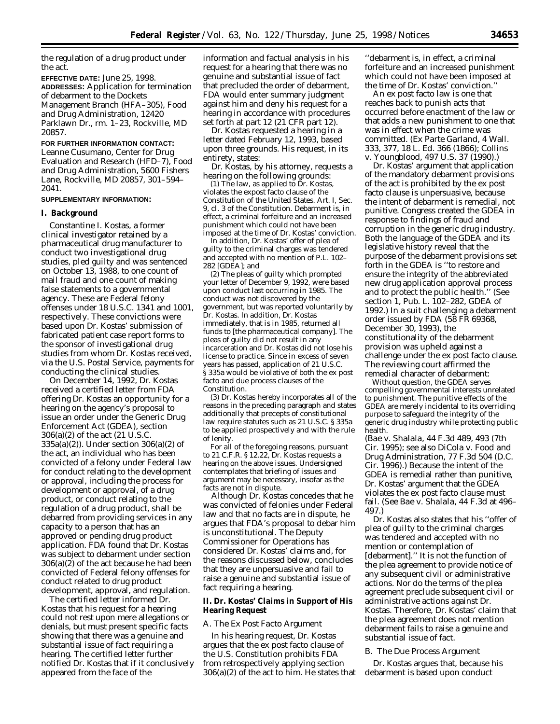the regulation of a drug product under the act.

**EFFECTIVE DATE:** June 25, 1998. **ADDRESSES:** Application for termination of debarment to the Dockets Management Branch (HFA–305), Food and Drug Administration, 12420 Parklawn Dr., rm. 1–23, Rockville, MD 20857.

#### **FOR FURTHER INFORMATION CONTACT:**

Leanne Cusumano, Center for Drug Evaluation and Research (HFD–7), Food and Drug Administration, 5600 Fishers Lane, Rockville, MD 20857, 301–594– 2041.

#### **SUPPLEMENTARY INFORMATION:**

#### **I. Background**

Constantine I. Kostas, a former clinical investigator retained by a pharmaceutical drug manufacturer to conduct two investigational drug studies, pled guilty and was sentenced on October 13, 1988, to one count of mail fraud and one count of making false statements to a governmental agency. These are Federal felony offenses under 18 U.S.C. 1341 and 1001, respectively. These convictions were based upon Dr. Kostas' submission of fabricated patient case report forms to the sponsor of investigational drug studies from whom Dr. Kostas received, via the U.S. Postal Service, payments for conducting the clinical studies.

On December 14, 1992, Dr. Kostas received a certified letter from FDA offering Dr. Kostas an opportunity for a hearing on the agency's proposal to issue an order under the Generic Drug Enforcement Act (GDEA), section 306(a)(2) of the act (21 U.S.C. 335a(a)(2)). Under section 306(a)(2) of the act, an individual who has been convicted of a felony under Federal law for conduct relating to the development or approval, including the process for development or approval, of a drug product, or conduct relating to the regulation of a drug product, shall be debarred from providing services in any capacity to a person that has an approved or pending drug product application. FDA found that Dr. Kostas was subject to debarment under section 306(a)(2) of the act because he had been convicted of Federal felony offenses for conduct related to drug product development, approval, and regulation.

The certified letter informed Dr. Kostas that his request for a hearing could not rest upon mere allegations or denials, but must present specific facts showing that there was a genuine and substantial issue of fact requiring a hearing. The certified letter further notified Dr. Kostas that if it conclusively appeared from the face of the

information and factual analysis in his request for a hearing that there was no genuine and substantial issue of fact that precluded the order of debarment, FDA would enter summary judgment against him and deny his request for a hearing in accordance with procedures set forth at part 12 (21 CFR part 12).

Dr. Kostas requested a hearing in a letter dated February 12, 1993, based upon three grounds. His request, in its entirety, states:

Dr. Kostas, by his attorney, requests a hearing on the following grounds:

(1) The law, as applied to Dr. Kostas, violates the expost facto clause of the Constitution of the United States. Art. I, Sec. 9, cl. 3 of the Constitution. Debarment is, in effect, a criminal forfeiture and an increased punishment which could not have been imposed at the time of Dr. Kostas' conviction.

In addition, Dr. Kostas' offer of plea of guilty to the criminal charges was tendered and accepted with no mention of P.L. 102– 282 [GDEA]; and

(2) The pleas of guilty which prompted your letter of December 9, 1992, were based upon conduct last occurring in 1985. The conduct was not discovered by the government, but was reported voluntarily by Dr. Kostas. In addition, Dr. Kostas immediately, that is in 1985, returned all funds to [the pharmaceutical company]. The pleas of guilty did not result in any incarceration and Dr. Kostas did not lose his license to practice. Since in excess of seven years has passed, application of 21 U.S.C. § 335a would be violative of both the ex post facto and due process clauses of the Constitution.

(3) Dr. Kostas hereby incorporates all of the reasons in the preceding paragraph and states additionally that precepts of constitutional law require statutes such as 21 U.S.C. § 335a to be applied prospectively and with the rule of lenity.

For all of the foregoing reasons, pursuant to 21 C.F.R. § 12.22, Dr. Kostas requests a hearing on the above issues. Undersigned contemplates that briefing of issues and argument may be necessary, insofar as the facts are not in dispute.

Although Dr. Kostas concedes that he was convicted of felonies under Federal law and that no facts are in dispute, he argues that FDA's proposal to debar him is unconstitutional. The Deputy Commissioner for Operations has considered Dr. Kostas' claims and, for the reasons discussed below, concludes that they are unpersuasive and fail to raise a genuine and substantial issue of fact requiring a hearing.

### **II. Dr. Kostas' Claims in Support of His Hearing Request**

#### *A. The Ex Post Facto Argument*

In his hearing request, Dr. Kostas argues that the ex post facto clause of the U.S. Constitution prohibits FDA from retrospectively applying section 306(a)(2) of the act to him. He states that

''debarment is, in effect, a criminal forfeiture and an increased punishment which could not have been imposed at the time of Dr. Kostas' conviction.''

An ex post facto law is one that reaches back to punish acts that occurred before enactment of the law or that adds a new punishment to one that was in effect when the crime was committed. (*Ex Parte Garland*, 4 Wall. 333, 377, 18 L. Ed. 366 (1866); *Collins* v. *Youngblood*, 497 U.S. 37 (1990).)

Dr. Kostas' argument that application of the mandatory debarment provisions of the act is prohibited by the ex post facto clause is unpersuasive, because the intent of debarment is remedial, not punitive. Congress created the GDEA in response to findings of fraud and corruption in the generic drug industry. Both the language of the GDEA and its legislative history reveal that the purpose of the debarment provisions set forth in the GDEA is ''to restore and ensure the integrity of the abbreviated new drug application approval process and to protect the public health.'' (See section 1, Pub. L. 102–282, GDEA of 1992.) In a suit challenging a debarment order issued by FDA (58 FR 69368, December 30, 1993), the constitutionality of the debarment provision was upheld against a challenge under the ex post facto clause. The reviewing court affirmed the remedial character of debarment:

Without question, the GDEA serves compelling governmental interests unrelated to punishment. The punitive effects of the GDEA are merely incidental to its overriding purpose to safeguard the integrity of the generic drug industry while protecting public health.

(*Bae* v. *Shalala*, 44 F.3d 489, 493 (7th Cir. 1995); see also *DiCola* v. *Food and Drug Administration*, 77 F.3d 504 (D.C. Cir. 1996).) Because the intent of the GDEA is remedial rather than punitive, Dr. Kostas' argument that the GDEA violates the ex post facto clause must fail. (See *Bae* v. *Shalala*, 44 F.3d at 496– 497.)

Dr. Kostas also states that his ''offer of plea of guilty to the criminal charges was tendered and accepted with no mention or contemplation of [debarment].'' It is not the function of the plea agreement to provide notice of any subsequent civil or administrative actions. Nor do the terms of the plea agreement preclude subsequent civil or administrative actions against Dr. Kostas. Therefore, Dr. Kostas' claim that the plea agreement does not mention debarment fails to raise a genuine and substantial issue of fact.

#### *B. The Due Process Argument*

Dr. Kostas argues that, because his debarment is based upon conduct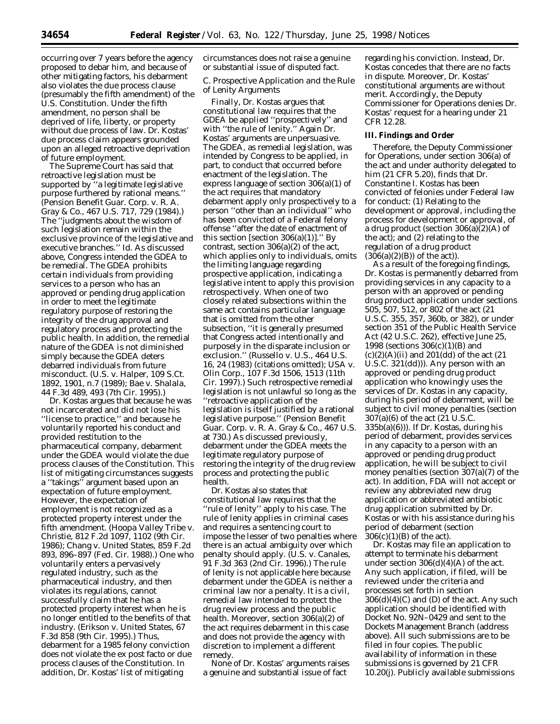occurring over 7 years before the agency proposed to debar him, and because of other mitigating factors, his debarment also violates the due process clause (presumably the fifth amendment) of the U.S. Constitution. Under the fifth amendment, no person shall be deprived of life, liberty, or property without due process of law. Dr. Kostas' due process claim appears grounded upon an alleged retroactive deprivation of future employment.

The Supreme Court has said that retroactive legislation must be supported by ''a legitimate legislative purpose furthered by rational means.'' (*Pension Benefit Guar. Corp*. v. *R. A. Gray & Co*., 467 U.S. 717, 729 (1984).) The ''judgments about the wisdom of such legislation remain within the exclusive province of the legislative and executive branches.'' *Id*. As discussed above, Congress intended the GDEA to be remedial. The GDEA prohibits certain individuals from providing services to a person who has an approved or pending drug application in order to meet the legitimate regulatory purpose of restoring the integrity of the drug approval and regulatory process and protecting the public health. In addition, the remedial nature of the GDEA is not diminished simply because the GDEA deters debarred individuals from future misconduct. (*U.S*. v. *Halper*, 109 S.Ct. 1892, 1901, n.7 (1989); *Bae* v. *Shalala*, 44 F.3d 489, 493 (7th Cir. 1995).)

Dr. Kostas argues that because he was not incarcerated and did not lose his ''license to practice,'' and because he voluntarily reported his conduct and provided restitution to the pharmaceutical company, debarment under the GDEA would violate the due process clauses of the Constitution. This list of mitigating circumstances suggests a ''takings'' argument based upon an expectation of future employment. However, the expectation of employment is not recognized as a protected property interest under the fifth amendment. (*Hoopa Valley Tribe* v. *Christie*, 812 F.2d 1097, 1102 (9th Cir. 1986); *Chang* v. *United States*, 859 F.2d 893, 896–897 (Fed. Cir. 1988).) One who voluntarily enters a pervasively regulated industry, such as the pharmaceutical industry, and then violates its regulations, cannot successfully claim that he has a protected property interest when he is no longer entitled to the benefits of that industry. (*Erikson* v. *United States*, 67 F.3d 858 (9th Cir. 1995).) Thus, debarment for a 1985 felony conviction does not violate the ex post facto or due process clauses of the Constitution. In addition, Dr. Kostas' list of mitigating

circumstances does not raise a genuine or substantial issue of disputed fact.

## *C. Prospective Application and the Rule of Lenity Arguments*

Finally, Dr. Kostas argues that constitutional law requires that the GDEA be applied ''prospectively'' and with ''the rule of lenity.'' Again Dr. Kostas' arguments are unpersuasive. The GDEA, as remedial legislation, was intended by Congress to be applied, in part, to conduct that occurred before enactment of the legislation. The express language of section 306(a)(1) of the act requires that mandatory debarment apply only prospectively to a person ''other than an individual'' who has been convicted of a Federal felony offense ''after the date of enactment of this section [section  $306(a)(1)$ ]." By contrast, section 306(a)(2) of the act, which applies only to individuals, omits the limiting language regarding prospective application, indicating a legislative intent to apply this provision retrospectively. When one of two closely related subsections within the same act contains particular language that is omitted from the other subsection, ''it is generally presumed that Congress acted intentionally and purposely in the disparate inclusion or exclusion.'' (*Russello* v. *U.S*., 464 U.S. 16, 24 (1983) (citations omitted); *USA* v. *Olin Corp*., 107 F.3d 1506, 1513 (11th Cir. 1997).) Such retrospective remedial legislation is not unlawful so long as the ''retroactive application of the legislation is itself justified by a rational legislative purpose.'' (*Pension Benefit Guar. Corp*. v. *R. A. Gray & Co*., 467 U.S. at 730.) As discussed previously, debarment under the GDEA meets the legitimate regulatory purpose of restoring the integrity of the drug review process and protecting the public health.

Dr. Kostas also states that constitutional law requires that the ''rule of lenity'' apply to his case. The rule of lenity applies in criminal cases and requires a sentencing court to impose the lesser of two penalties where there is an actual ambiguity over which penalty should apply. (*U.S*. v. *Canales*, 91 F.3d 363 (2nd Cir. 1996).) The rule of lenity is not applicable here because debarment under the GDEA is neither a criminal law nor a penalty. It is a civil, remedial law intended to protect the drug review process and the public health. Moreover, section 306(a)(2) of the act requires debarment in this case and does not provide the agency with discretion to implement a different remedy.

None of Dr. Kostas' arguments raises a genuine and substantial issue of fact

regarding his conviction. Instead, Dr. Kostas concedes that there are no facts in dispute. Moreover, Dr. Kostas' constitutional arguments are without merit. Accordingly, the Deputy Commissioner for Operations denies Dr. Kostas' request for a hearing under 21 CFR 12.28.

#### **III. Findings and Order**

Therefore, the Deputy Commissioner for Operations, under section 306(a) of the act and under authority delegated to him (21 CFR 5.20), finds that Dr. Constantine I. Kostas has been convicted of felonies under Federal law for conduct: (1) Relating to the development or approval, including the process for development or approval, of a drug product (section 306(a)(2)(A) of the act); and (2) relating to the regulation of a drug product  $(306(a)(2)(B))$  of the act).

As a result of the foregoing findings, Dr. Kostas is permanently debarred from providing services in any capacity to a person with an approved or pending drug product application under sections 505, 507, 512, or 802 of the act (21 U.S.C. 355, 357, 360b, or 382), or under section 351 of the Public Health Service Act (42 U.S.C. 262), effective June 25, 1998 (sections 306(c)(1)(B) and  $(c)(2)(A)(ii)$  and 201(dd) of the act (21) U.S.C. 321(dd))). Any person with an approved or pending drug product application who knowingly uses the services of Dr. Kostas in any capacity, during his period of debarment, will be subject to civil money penalties (section 307(a)(6) of the act (21 U.S.C. 335b(a)(6))). If Dr. Kostas, during his period of debarment, provides services in any capacity to a person with an approved or pending drug product application, he will be subject to civil money penalties (section 307(a)(7) of the act). In addition, FDA will not accept or review any abbreviated new drug application or abbreviated antibiotic drug application submitted by Dr. Kostas or with his assistance during his period of debarment (section 306(c)(1)(B) of the act).

Dr. Kostas may file an application to attempt to terminate his debarment under section  $306(d)(4)(A)$  of the act. Any such application, if filed, will be reviewed under the criteria and processes set forth in section  $306(d)(4)(C)$  and (D) of the act. Any such application should be identified with Docket No. 92N–0429 and sent to the Dockets Management Branch (address above). All such submissions are to be filed in four copies. The public availability of information in these submissions is governed by 21 CFR 10.20(j). Publicly available submissions